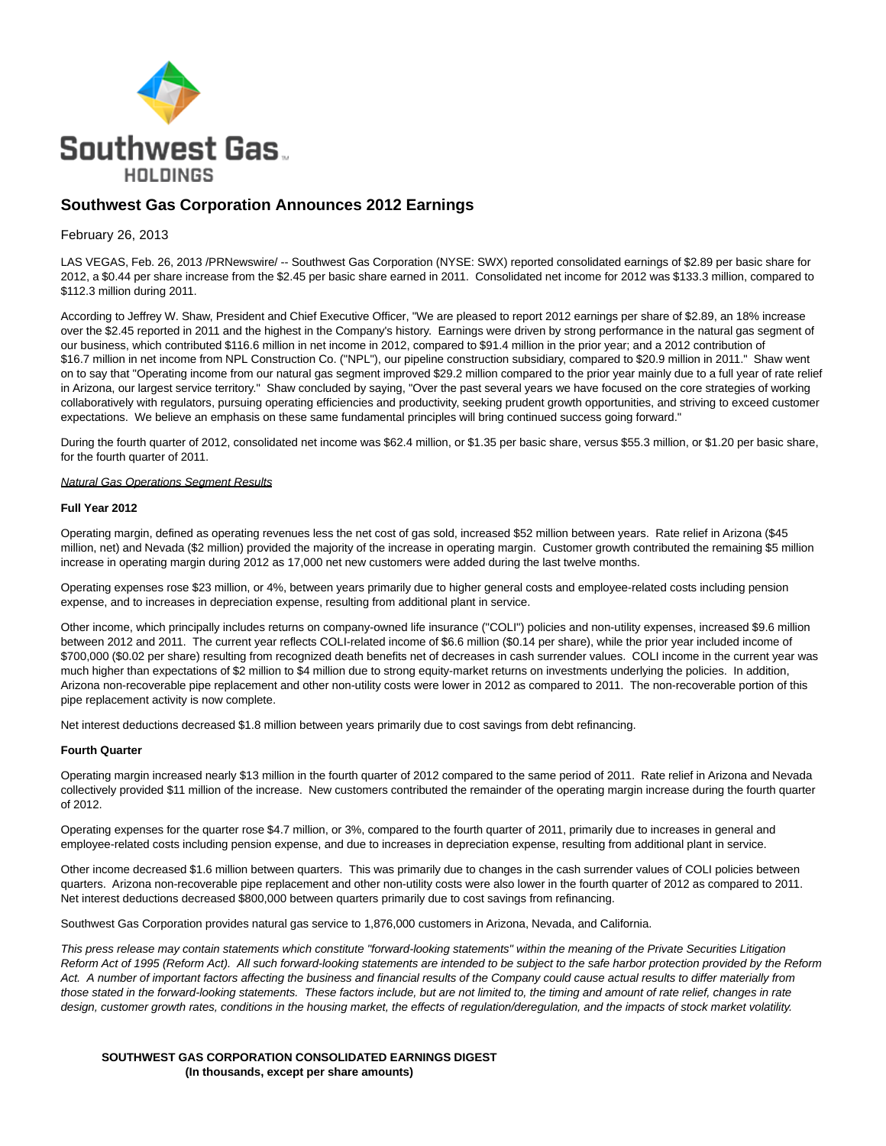

# **Southwest Gas Corporation Announces 2012 Earnings**

## February 26, 2013

LAS VEGAS, Feb. 26, 2013 /PRNewswire/ -- Southwest Gas Corporation (NYSE: SWX) reported consolidated earnings of \$2.89 per basic share for 2012, a \$0.44 per share increase from the \$2.45 per basic share earned in 2011. Consolidated net income for 2012 was \$133.3 million, compared to \$112.3 million during 2011.

According to Jeffrey W. Shaw, President and Chief Executive Officer, "We are pleased to report 2012 earnings per share of \$2.89, an 18% increase over the \$2.45 reported in 2011 and the highest in the Company's history. Earnings were driven by strong performance in the natural gas segment of our business, which contributed \$116.6 million in net income in 2012, compared to \$91.4 million in the prior year; and a 2012 contribution of \$16.7 million in net income from NPL Construction Co. ("NPL"), our pipeline construction subsidiary, compared to \$20.9 million in 2011." Shaw went on to say that "Operating income from our natural gas segment improved \$29.2 million compared to the prior year mainly due to a full year of rate relief in Arizona, our largest service territory." Shaw concluded by saying, "Over the past several years we have focused on the core strategies of working collaboratively with regulators, pursuing operating efficiencies and productivity, seeking prudent growth opportunities, and striving to exceed customer expectations. We believe an emphasis on these same fundamental principles will bring continued success going forward."

During the fourth quarter of 2012, consolidated net income was \$62.4 million, or \$1.35 per basic share, versus \$55.3 million, or \$1.20 per basic share, for the fourth quarter of 2011.

#### Natural Gas Operations Segment Results

#### **Full Year 2012**

Operating margin, defined as operating revenues less the net cost of gas sold, increased \$52 million between years. Rate relief in Arizona (\$45 million, net) and Nevada (\$2 million) provided the majority of the increase in operating margin. Customer growth contributed the remaining \$5 million increase in operating margin during 2012 as 17,000 net new customers were added during the last twelve months.

Operating expenses rose \$23 million, or 4%, between years primarily due to higher general costs and employee-related costs including pension expense, and to increases in depreciation expense, resulting from additional plant in service.

Other income, which principally includes returns on company-owned life insurance ("COLI") policies and non-utility expenses, increased \$9.6 million between 2012 and 2011. The current year reflects COLI-related income of \$6.6 million (\$0.14 per share), while the prior year included income of \$700,000 (\$0.02 per share) resulting from recognized death benefits net of decreases in cash surrender values. COLI income in the current year was much higher than expectations of \$2 million to \$4 million due to strong equity-market returns on investments underlying the policies. In addition, Arizona non-recoverable pipe replacement and other non-utility costs were lower in 2012 as compared to 2011. The non-recoverable portion of this pipe replacement activity is now complete.

Net interest deductions decreased \$1.8 million between years primarily due to cost savings from debt refinancing.

### **Fourth Quarter**

Operating margin increased nearly \$13 million in the fourth quarter of 2012 compared to the same period of 2011. Rate relief in Arizona and Nevada collectively provided \$11 million of the increase. New customers contributed the remainder of the operating margin increase during the fourth quarter of 2012.

Operating expenses for the quarter rose \$4.7 million, or 3%, compared to the fourth quarter of 2011, primarily due to increases in general and employee-related costs including pension expense, and due to increases in depreciation expense, resulting from additional plant in service.

Other income decreased \$1.6 million between quarters. This was primarily due to changes in the cash surrender values of COLI policies between quarters. Arizona non-recoverable pipe replacement and other non-utility costs were also lower in the fourth quarter of 2012 as compared to 2011. Net interest deductions decreased \$800,000 between quarters primarily due to cost savings from refinancing.

Southwest Gas Corporation provides natural gas service to 1,876,000 customers in Arizona, Nevada, and California.

This press release may contain statements which constitute "forward-looking statements" within the meaning of the Private Securities Litigation Reform Act of 1995 (Reform Act). All such forward-looking statements are intended to be subject to the safe harbor protection provided by the Reform Act. A number of important factors affecting the business and financial results of the Company could cause actual results to differ materially from those stated in the forward-looking statements. These factors include, but are not limited to, the timing and amount of rate relief, changes in rate design, customer growth rates, conditions in the housing market, the effects of regulation/deregulation, and the impacts of stock market volatility.

**SOUTHWEST GAS CORPORATION CONSOLIDATED EARNINGS DIGEST (In thousands, except per share amounts)**